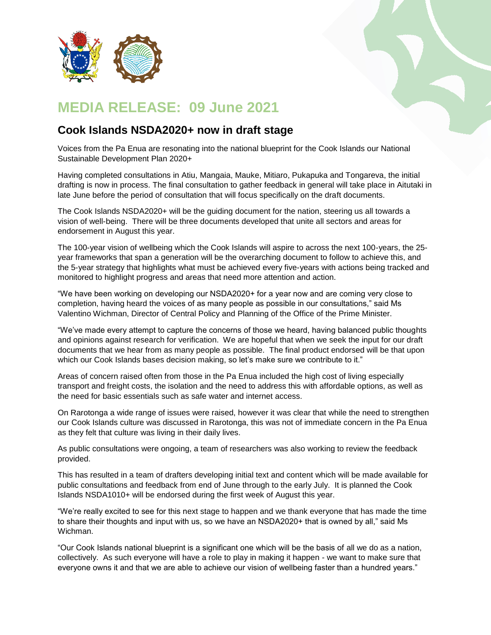

## **MEDIA RELEASE: 09 June 2021**

## **Cook Islands NSDA2020+ now in draft stage**

Voices from the Pa Enua are resonating into the national blueprint for the Cook Islands our National Sustainable Development Plan 2020+

Having completed consultations in Atiu, Mangaia, Mauke, Mitiaro, Pukapuka and Tongareva, the initial drafting is now in process. The final consultation to gather feedback in general will take place in Aitutaki in late June before the period of consultation that will focus specifically on the draft documents.

The Cook Islands NSDA2020+ will be the guiding document for the nation, steering us all towards a vision of well-being. There will be three documents developed that unite all sectors and areas for endorsement in August this year.

The 100-year vision of wellbeing which the Cook Islands will aspire to across the next 100-years, the 25 year frameworks that span a generation will be the overarching document to follow to achieve this, and the 5-year strategy that highlights what must be achieved every five-years with actions being tracked and monitored to highlight progress and areas that need more attention and action.

"We have been working on developing our NSDA2020+ for a year now and are coming very close to completion, having heard the voices of as many people as possible in our consultations," said Ms Valentino Wichman, Director of Central Policy and Planning of the Office of the Prime Minister.

"We've made every attempt to capture the concerns of those we heard, having balanced public thoughts and opinions against research for verification. We are hopeful that when we seek the input for our draft documents that we hear from as many people as possible. The final product endorsed will be that upon which our Cook Islands bases decision making, so let's make sure we contribute to it."

Areas of concern raised often from those in the Pa Enua included the high cost of living especially transport and freight costs, the isolation and the need to address this with affordable options, as well as the need for basic essentials such as safe water and internet access.

On Rarotonga a wide range of issues were raised, however it was clear that while the need to strengthen our Cook Islands culture was discussed in Rarotonga, this was not of immediate concern in the Pa Enua as they felt that culture was living in their daily lives.

As public consultations were ongoing, a team of researchers was also working to review the feedback provided.

This has resulted in a team of drafters developing initial text and content which will be made available for public consultations and feedback from end of June through to the early July. It is planned the Cook Islands NSDA1010+ will be endorsed during the first week of August this year.

"We're really excited to see for this next stage to happen and we thank everyone that has made the time to share their thoughts and input with us, so we have an NSDA2020+ that is owned by all," said Ms Wichman.

"Our Cook Islands national blueprint is a significant one which will be the basis of all we do as a nation, collectively. As such everyone will have a role to play in making it happen - we want to make sure that everyone owns it and that we are able to achieve our vision of wellbeing faster than a hundred years."